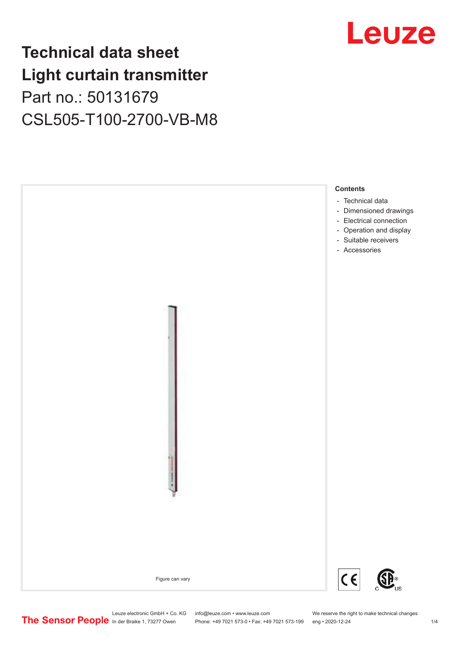# **Technical data sheet Light curtain transmitter** Part no.: 50131679 CSL505-T100-2700-VB-M8





Leuze electronic GmbH + Co. KG info@leuze.com • www.leuze.com We reserve the right to make technical changes<br>
The Sensor People in der Braike 1, 73277 Owen Phone: +49 7021 573-0 • Fax: +49 7021 573-199 eng • 2020-12-24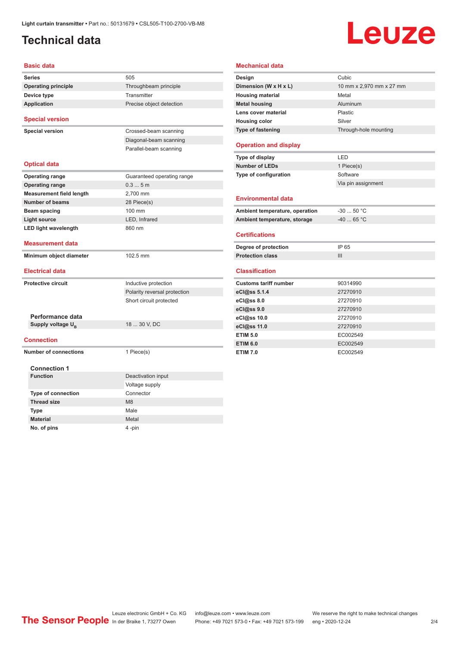# <span id="page-1-0"></span>**Technical data**

# Leuze

| <b>Basic data</b>                   |                              |  |  |
|-------------------------------------|------------------------------|--|--|
| <b>Series</b>                       | 505                          |  |  |
| <b>Operating principle</b>          | Throughbeam principle        |  |  |
| Device type                         | Transmitter                  |  |  |
| <b>Application</b>                  | Precise object detection     |  |  |
|                                     |                              |  |  |
| <b>Special version</b>              |                              |  |  |
| <b>Special version</b>              | Crossed-beam scanning        |  |  |
|                                     | Diagonal-beam scanning       |  |  |
|                                     | Parallel-beam scanning       |  |  |
|                                     |                              |  |  |
| <b>Optical data</b>                 |                              |  |  |
| <b>Operating range</b>              | Guaranteed operating range   |  |  |
| <b>Operating range</b>              | 0.35m                        |  |  |
| <b>Measurement field length</b>     | 2,700 mm                     |  |  |
| <b>Number of beams</b>              | 28 Piece(s)                  |  |  |
| <b>Beam spacing</b>                 | 100 mm                       |  |  |
| <b>Light source</b>                 | LED, Infrared                |  |  |
| <b>LED light wavelength</b>         | 860 nm                       |  |  |
|                                     |                              |  |  |
| <b>Measurement data</b>             |                              |  |  |
| 102.5 mm<br>Minimum object diameter |                              |  |  |
| <b>Electrical data</b>              |                              |  |  |
|                                     |                              |  |  |
| <b>Protective circuit</b>           | Inductive protection         |  |  |
|                                     | Polarity reversal protection |  |  |
|                                     | Short circuit protected      |  |  |
|                                     |                              |  |  |
| Performance data                    | 18  30 V, DC                 |  |  |
| Supply voltage U <sub>B</sub>       |                              |  |  |
| <b>Connection</b>                   |                              |  |  |
| <b>Number of connections</b>        | 1 Piece(s)                   |  |  |
|                                     |                              |  |  |
| <b>Connection 1</b>                 |                              |  |  |
| <b>Function</b>                     | Deactivation input           |  |  |
|                                     | Voltage supply               |  |  |
| <b>Type of connection</b>           | Connector                    |  |  |
| <b>Thread size</b>                  | M <sub>8</sub>               |  |  |
| <b>Type</b>                         | Male                         |  |  |
| <b>Material</b>                     | Metal                        |  |  |
| No. of pins                         | 4-pin                        |  |  |

| Design                         | Cubic                    |
|--------------------------------|--------------------------|
| Dimension (W x H x L)          | 10 mm x 2,970 mm x 27 mm |
| <b>Housing material</b>        | Metal                    |
| <b>Metal housing</b>           | Aluminum                 |
| Lens cover material            | Plastic                  |
| <b>Housing color</b>           | Silver                   |
| Type of fastening              | Through-hole mounting    |
| <b>Operation and display</b>   |                          |
| Type of display                | LED                      |
| <b>Number of LEDs</b>          | 1 Piece(s)               |
| Type of configuration          | Software                 |
|                                | Via pin assignment       |
| <b>Environmental data</b>      |                          |
| Ambient temperature, operation | $-30$ 50 °C              |
| Ambient temperature, storage   | $-40$ 65 °C              |
| <b>Certifications</b>          |                          |
| Degree of protection           | IP 65                    |
| <b>Protection class</b>        | III                      |
| <b>Classification</b>          |                          |
| <b>Customs tariff number</b>   | 90314990                 |
| eCl@ss 5.1.4                   | 27270910                 |
| eCl@ss 8.0                     | 27270910                 |
| eCl@ss 9.0                     | 27270910                 |
| eCl@ss 10.0                    | 27270910                 |
| eCl@ss 11.0                    | 27270910                 |
| <b>ETIM 5.0</b>                | EC002549                 |
| <b>ETIM 6.0</b>                | EC002549                 |
| <b>ETIM 7.0</b>                | EC002549                 |

**Mechanical data**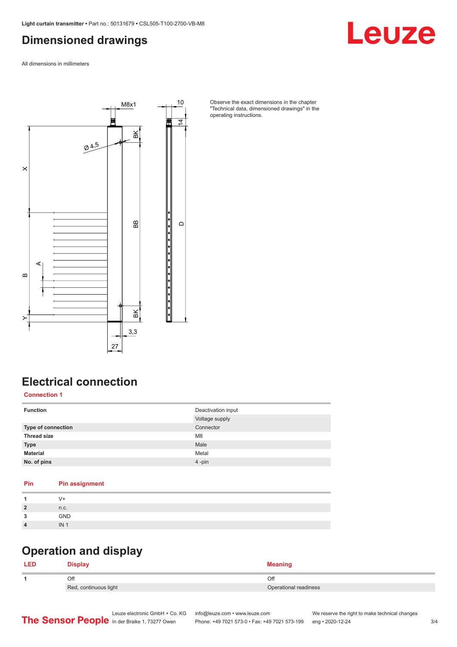### <span id="page-2-0"></span>**Dimensioned drawings**

Leuze

All dimensions in millimeters



Observe the exact dimensions in the chapter "Technical data, dimensioned drawings" in the operating instructions.

# **Electrical connection**

**Connection 1**

| <b>Function</b>    | Deactivation input<br>Voltage supply |
|--------------------|--------------------------------------|
| Type of connection | Connector                            |
| <b>Thread size</b> | M <sub>8</sub>                       |
| <b>Type</b>        | Male                                 |
| <b>Material</b>    | Metal                                |
| No. of pins        | 4-pin                                |

| Pin            | <b>Pin assignment</b> |
|----------------|-----------------------|
| 1              | V+                    |
| $\overline{2}$ | n.c.                  |
| 3              | <b>GND</b>            |
| $\overline{4}$ | IN <sub>1</sub>       |
|                |                       |

# **Operation and display**

| <b>LED</b> | <b>โ</b> ienlaง       |                       |
|------------|-----------------------|-----------------------|
|            | Оfl                   | Off                   |
|            | Red, continuous light | Operational readiness |